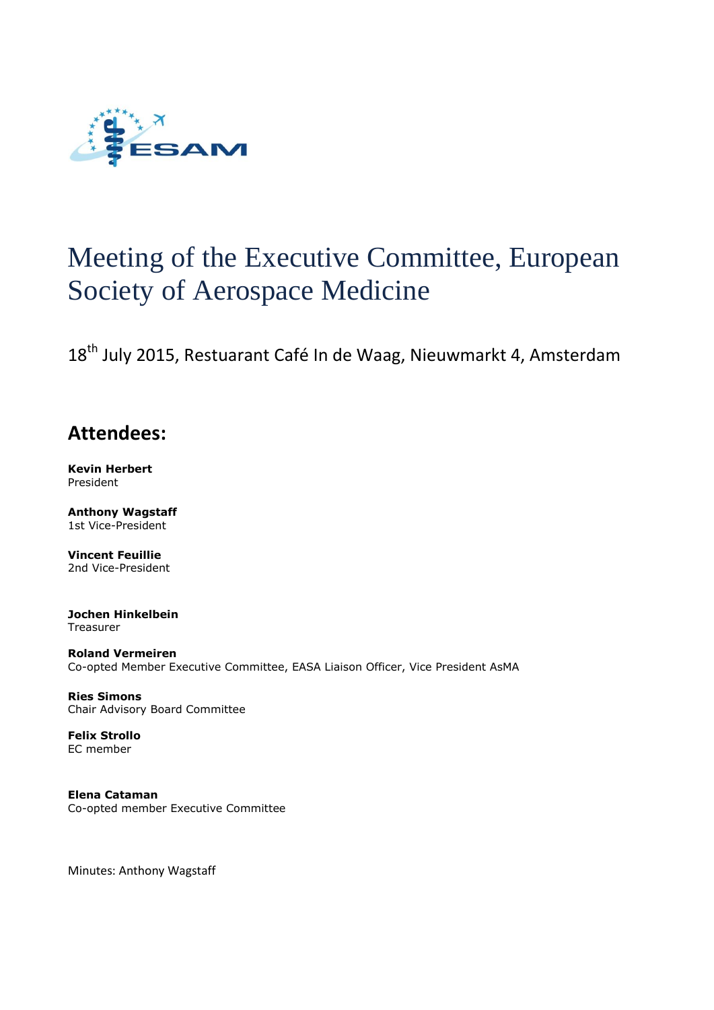

# Meeting of the Executive Committee, European Society of Aerospace Medicine

18<sup>th</sup> July 2015, Restuarant Café In de Waag, Nieuwmarkt 4, Amsterdam

# **Attendees:**

**Kevin Herbert** President

**Anthony Wagstaff** 1st Vice-President

**Vincent Feuillie** 2nd Vice-President

**Jochen Hinkelbein** Treasurer

**Roland Vermeiren** Co-opted Member Executive Committee, EASA Liaison Officer, Vice President AsMA

**Ries Simons** Chair Advisory Board Committee

**Felix Strollo** EC member

**Elena Cataman** Co-opted member Executive Committee

Minutes: Anthony Wagstaff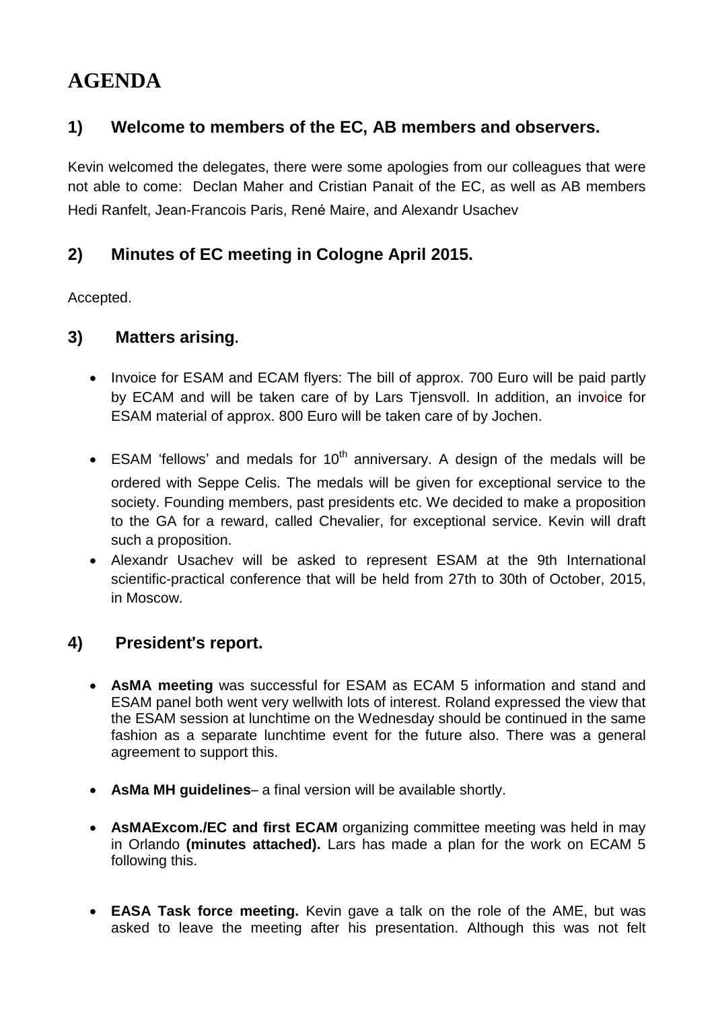# **AGENDA**

# **1) Welcome to members of the EC, AB members and observers.**

Kevin welcomed the delegates, there were some apologies from our colleagues that were not able to come: Declan Maher and Cristian Panait of the EC, as well as AB members Hedi Ranfelt, Jean-Francois Paris, René Maire, and Alexandr Usachev

#### **2) Minutes of EC meeting in Cologne April 2015.** Time: 4 the July 2010 of the July 2010 of the July 2010 of the July 2010 of the July 2010 of the July 2010 of the July 2010 of the July 2010 of the July 2010 of the July 2010 of the July 2010 of the July 2010 of the July 2010 of t

Accepted. . Herbert, Ioannis Diamantopoulos, Ries Simons, Ries Simons, Declaration Maher, Hans Pongratz, Lars Tjensvoll.

#### **3)** Matters arising.  $\alpha$ ,  $\alpha$  the chair at 12:00.

- Invoice for ESAM and ECAM flyers: The bill of approx. 700 Euro will be paid partly by ECAM and will be taken care of by Lars Tjensvoll. In addition, an invoice for ESAM material of approx. 800 Euro will be taken care of by Jochen.
- ESAM 'fellows' and medals for  $10<sup>th</sup>$  anniversary. A design of the medals will be ordered with Seppe Celis. The medals will be given for exceptional service to the society. Founding members, past presidents etc. We decided to make a proposition to the GA for a reward, called Chevalier, for exceptional service. Kevin will draft such a proposition.
- Alexandr Usachev will be asked to represent ESAM at the 9th International scientific-practical conference that will be held from 27th to 30th of October, 2015, in Moscow. If the carrier country will be doned to represent EDAM at the one international ponel and produce conference that the set hold here Eran to both or betosen, Lord, international relationships. Kevin proposed an invitation to Prof. Bagshaw to attend ECAM.

#### **4) President's report. <b>EXACC** and regulation and regulation and regulation. They both would be invited with a view to invited with a view to invited with a view to invited with a view to invited with a view to invited wi holding a panel discussion.

- **AsMA meeting** was successful for ESAM as ECAM 5 information and stand and From Procurs, the choice of possibilities were considered. The consideration which consider the view that ESAM panel both went very wellwith lots of interest. Roland expressed the view that ESAM parter both went very wellwith lots of interest. Notation expressed the view that<br>the ESAM session at lunchtime on the Wednesday should be continued in the same meeting was constructed to the control of the constraints communication of the future also. There was a general Experience in the parameter throughout the first day for the first day for the welcome reception and leads to support this. Many abstracts had been submitted to date. It is not possible, however, to move the abstracts of  $\mathcal{L}$
- **AsMa MH guidelines** a final version will be available shortly. deadline forward. The GA should be held on Saturday morning. All attendees should be **e** Asivid in tydiagulities at that version will be available shortly.
- **AsMAExcom./EC and first ECAM** organizing committee meeting was held in may in Orlando **(minutes attached).** Lars has made a plan for the work on ECAM 5 The following this. The financial situation has made it much more difficult than it would have been 2-3 years ago. The financial than it would have been 2-3 years ago. The financial than it would have been 2-3 years ago. T
- **EASA Task force meeting.** Kevin gave a talk on the role of the AME, but was asked to leave the meeting after his presentation. Although this was not felt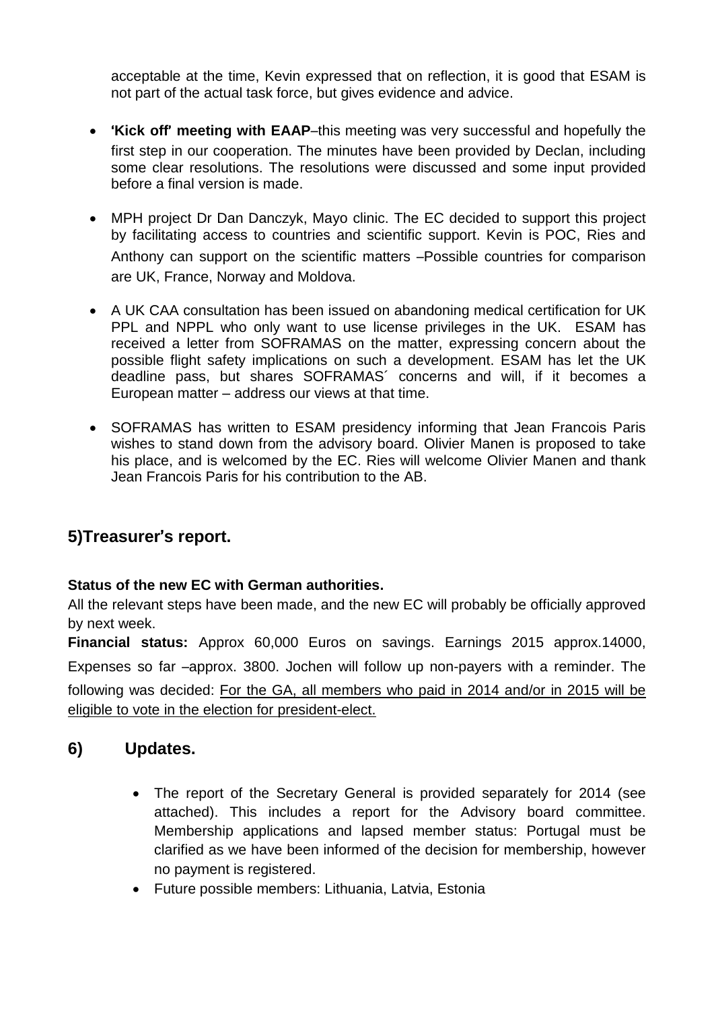acceptable at the time, Kevin expressed that on reflection, it is good that ESAM is not part of the actual task force, but gives evidence and advice.

- '**Kick off**' **meeting with EAAP**–this meeting was very successful and hopefully the first step in our cooperation. The minutes have been provided by Declan, including some clear resolutions. The resolutions were discussed and some input provided before a final version is made.
- MPH project Dr Dan Danczyk, Mayo clinic. The EC decided to support this project by facilitating access to countries and scientific support. Kevin is POC, Ries and Anthony can support on the scientific matters –Possible countries for comparison are UK, France, Norway and Moldova.
- A UK CAA consultation has been issued on abandoning medical certification for UK PPL and NPPL who only want to use license privileges in the UK. ESAM has received a letter from SOFRAMAS on the matter, expressing concern about the possible flight safety implications on such a development. ESAM has let the UK deadline pass, but shares SOFRAMAS´ concerns and will, if it becomes a European matter – address our views at that time.
- SOFRAMAS has written to ESAM presidency informing that Jean Francois Paris wishes to stand down from the advisory board. Olivier Manen is proposed to take his place, and is welcomed by the EC. Ries will welcome Olivier Manen and thank Jean Francois Paris for his contribution to the AB.

# **5)Treasurer**'**s report.**

### **Status of the new EC with German authorities.**

All the relevant steps have been made, and the new EC will probably be officially approved by next week.

**Financial status:** Approx 60,000 Euros on savings. Earnings 2015 approx.14000, Expenses so far –approx. 3800. Jochen will follow up non-payers with a reminder. The following was decided: For the GA, all members who paid in 2014 and/or in 2015 will be eligible to vote in the election for president-elect.

# **6) Updates.**

- The report of the Secretary General is provided separately for 2014 (see attached). This includes a report for the Advisory board committee. Membership applications and lapsed member status: Portugal must be clarified as we have been informed of the decision for membership, however no payment is registered.
- Future possible members: Lithuania, Latvia, Estonia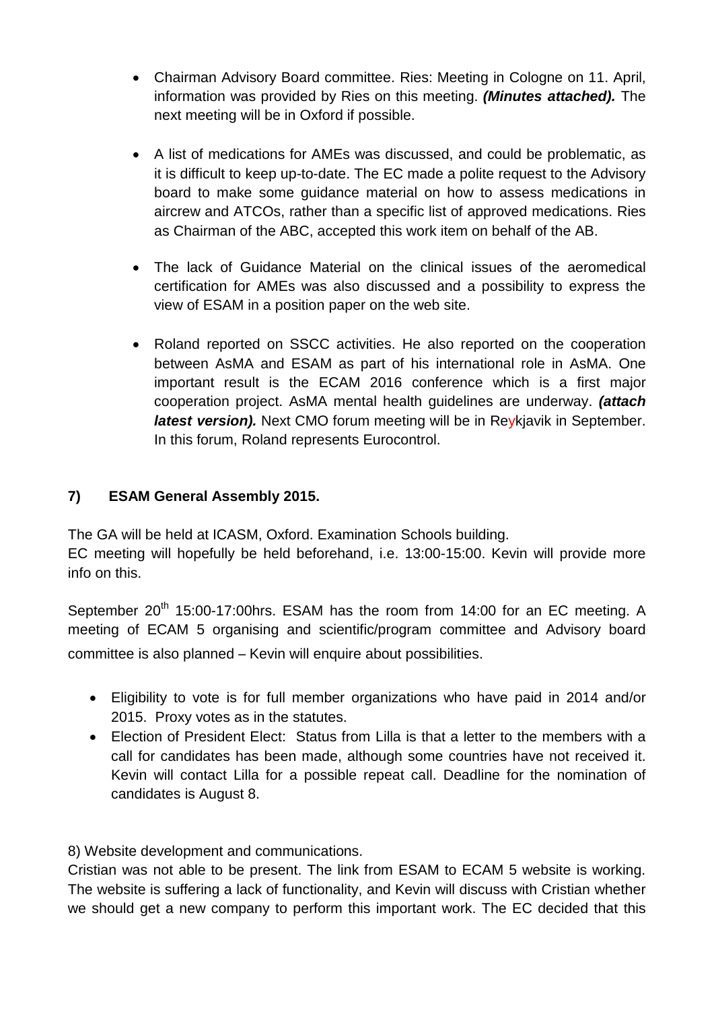- Chairman Advisory Board committee. Ries: Meeting in Cologne on 11. April. information was provided by Ries on this meeting. *(Minutes attached).* The next meeting will be in Oxford if possible.
- A list of medications for AMEs was discussed, and could be problematic, as it is difficult to keep up-to-date. The EC made a polite request to the Advisory board to make some guidance material on how to assess medications in aircrew and ATCOs, rather than a specific list of approved medications. Ries as Chairman of the ABC, accepted this work item on behalf of the AB.
- The lack of Guidance Material on the clinical issues of the aeromedical certification for AMEs was also discussed and a possibility to express the view of ESAM in a position paper on the web site.
- Roland reported on SSCC activities. He also reported on the cooperation between AsMA and ESAM as part of his international role in AsMA. One important result is the ECAM 2016 conference which is a first major cooperation project. AsMA mental health guidelines are underway. *(attach latest version).* Next CMO forum meeting will be in Reykjavik in September. In this forum, Roland represents Eurocontrol.

### **7) ESAM General Assembly 2015.**

The GA will be held at ICASM, Oxford. Examination Schools building.

EC meeting will hopefully be held beforehand, i.e. 13:00-15:00. Kevin will provide more info on this.

September 20<sup>th</sup> 15:00-17:00hrs. ESAM has the room from 14:00 for an EC meeting. A meeting of ECAM 5 organising and scientific/program committee and Advisory board committee is also planned – Kevin will enquire about possibilities.

- Eligibility to vote is for full member organizations who have paid in 2014 and/or 2015. Proxy votes as in the statutes.
- Election of President Elect: Status from Lilla is that a letter to the members with a call for candidates has been made, although some countries have not received it. Kevin will contact Lilla for a possible repeat call. Deadline for the nomination of candidates is August 8.

8) Website development and communications.

Cristian was not able to be present. The link from ESAM to ECAM 5 website is working. The website is suffering a lack of functionality, and Kevin will discuss with Cristian whether we should get a new company to perform this important work. The EC decided that this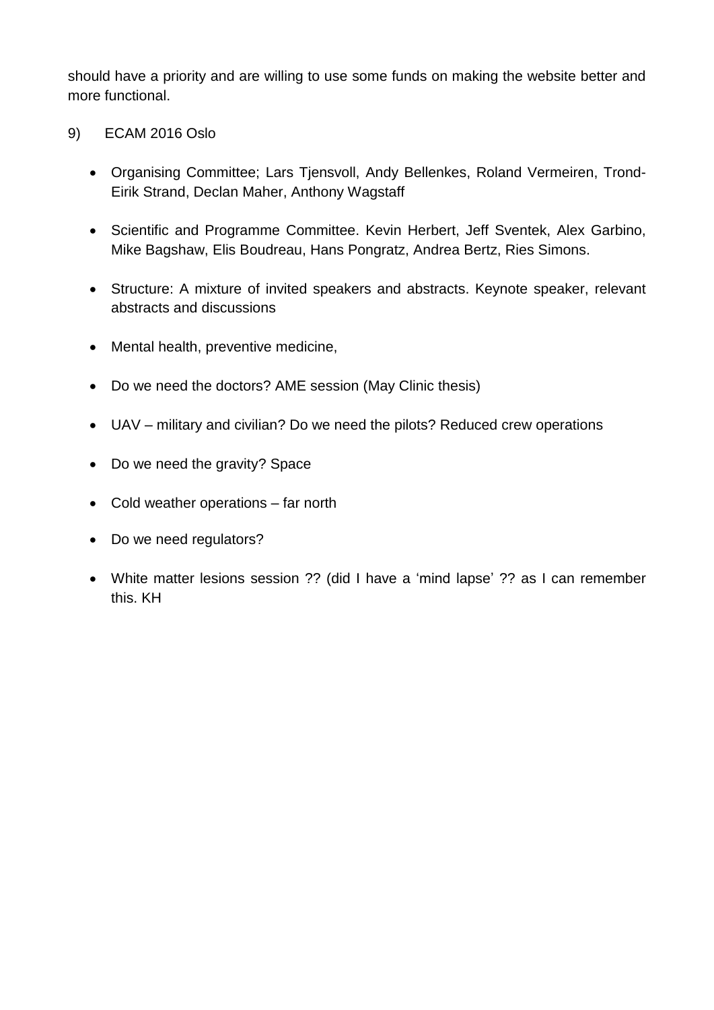should have a priority and are willing to use some funds on making the website better and more functional.

- 9) ECAM 2016 Oslo
	- Organising Committee; Lars Tjensvoll, Andy Bellenkes, Roland Vermeiren, Trond-Eirik Strand, Declan Maher, Anthony Wagstaff
	- Scientific and Programme Committee. Kevin Herbert, Jeff Sventek, Alex Garbino, Mike Bagshaw, Elis Boudreau, Hans Pongratz, Andrea Bertz, Ries Simons.
	- Structure: A mixture of invited speakers and abstracts. Keynote speaker, relevant abstracts and discussions
	- Mental health, preventive medicine,
	- Do we need the doctors? AME session (May Clinic thesis)
	- UAV military and civilian? Do we need the pilots? Reduced crew operations
	- Do we need the gravity? Space
	- Cold weather operations far north
	- Do we need regulators?
	- White matter lesions session ?? (did I have a 'mind lapse' ?? as I can remember this. KH